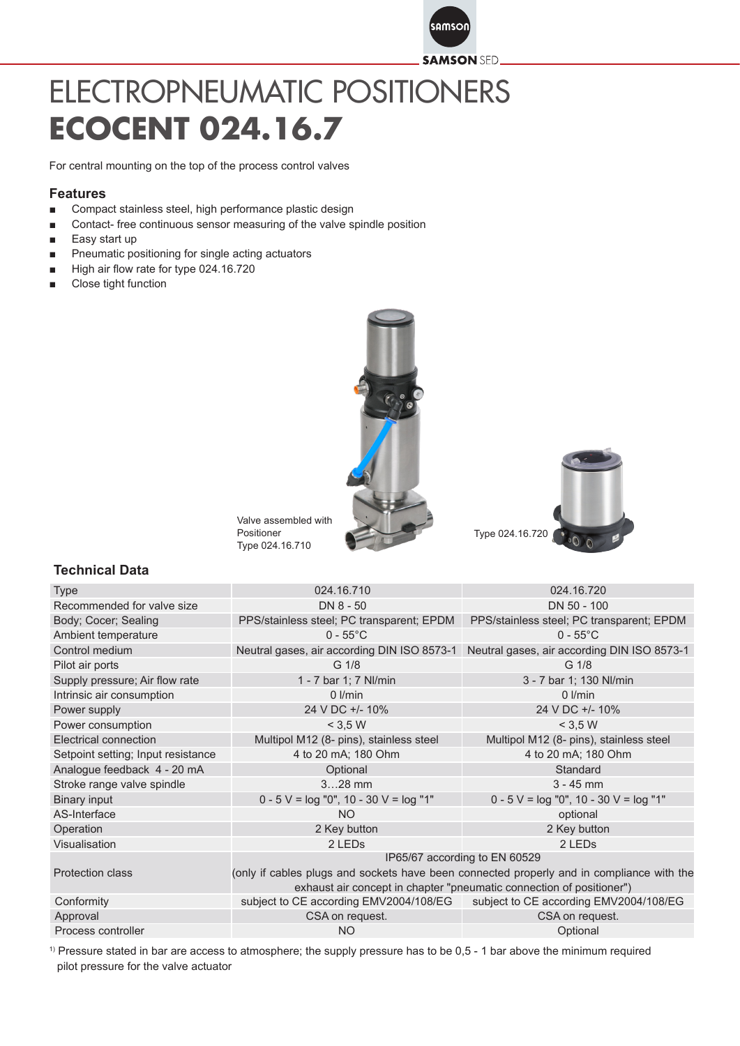

## ELECTROPNEUMATIC POSITIONERS **ECOCENT 024.16.7**

For central mounting on the top of the process control valves

## **Features**

- Compact stainless steel, high performance plastic design
- Contact- free continuous sensor measuring of the valve spindle position
- Easy start up
- Pneumatic positioning for single acting actuators
- High air flow rate for type 024.16.720
- Close tight function





Valve assembled with Positioner Type 024.16.710

## **Technical Data**

| Type                               | 024.16.710                                                                                | 024.16.720                                   |
|------------------------------------|-------------------------------------------------------------------------------------------|----------------------------------------------|
| Recommended for valve size         | DN 8 - 50                                                                                 | DN 50 - 100                                  |
| Body; Cocer; Sealing               | PPS/stainless steel; PC transparent; EPDM                                                 | PPS/stainless steel; PC transparent; EPDM    |
| Ambient temperature                | $0 - 55^{\circ}$ C                                                                        | $0 - 55^{\circ}$ C                           |
| Control medium                     | Neutral gases, air according DIN ISO 8573-1                                               | Neutral gases, air according DIN ISO 8573-1  |
| Pilot air ports                    | G 1/8                                                                                     | G <sub>1/8</sub>                             |
| Supply pressure; Air flow rate     | 1 - 7 bar 1; 7 Nl/min                                                                     | 3 - 7 bar 1; 130 Nl/min                      |
| Intrinsic air consumption          | $0$ I/min                                                                                 | $0$ I/min                                    |
| Power supply                       | 24 V DC +/- 10%                                                                           | 24 V DC +/- 10%                              |
| Power consumption                  | < 3.5 W                                                                                   | $<$ 3,5 W                                    |
| Electrical connection              | Multipol M12 (8- pins), stainless steel                                                   | Multipol M12 (8- pins), stainless steel      |
| Setpoint setting; Input resistance | 4 to 20 mA; 180 Ohm                                                                       | 4 to 20 mA; 180 Ohm                          |
| Analogue feedback 4 - 20 mA        | Optional                                                                                  | Standard                                     |
| Stroke range valve spindle         | $328$ mm                                                                                  | $3 - 45$ mm                                  |
| <b>Binary input</b>                | $0 - 5$ V = $log$ "0", 10 - 30 V = $log$ "1"                                              | $0 - 5$ V = $log$ "0", 10 - 30 V = $log$ "1" |
| AS-Interface                       | <b>NO</b>                                                                                 | optional                                     |
| Operation                          | 2 Key button                                                                              | 2 Key button                                 |
| Visualisation                      | 2 LED <sub>s</sub>                                                                        | 2 LED <sub>s</sub>                           |
|                                    | IP65/67 according to EN 60529                                                             |                                              |
| <b>Protection class</b>            | (only if cables plugs and sockets have been connected properly and in compliance with the |                                              |
|                                    | exhaust air concept in chapter "pneumatic connection of positioner")                      |                                              |
| Conformity                         | subject to CE according EMV2004/108/EG                                                    | subject to CE according EMV2004/108/EG       |
| Approval                           | CSA on request.                                                                           | CSA on request.                              |
| Process controller                 | <b>NO</b>                                                                                 | Optional                                     |

1) Pressure stated in bar are access to atmosphere; the supply pressure has to be 0,5 - 1 bar above the minimum required pilot pressure for the valve actuator